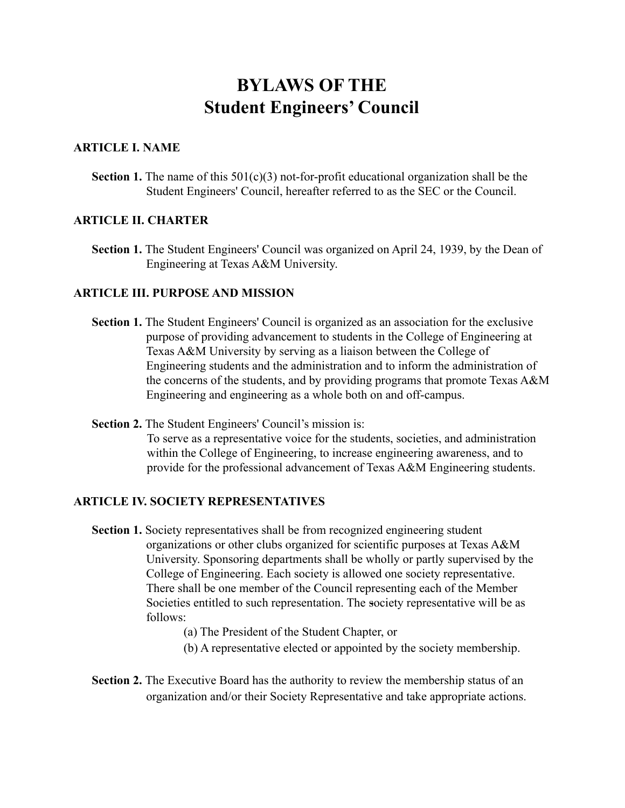# **BYLAWS OF THE Student Engineers' Council**

### **ARTICLE I. NAME**

**Section 1.** The name of this  $501(c)(3)$  not-for-profit educational organization shall be the Student Engineers' Council, hereafter referred to as the SEC or the Council.

### **ARTICLE II. CHARTER**

**Section 1.** The Student Engineers' Council was organized on April 24, 1939, by the Dean of Engineering at Texas A&M University.

### **ARTICLE III. PURPOSE AND MISSION**

- **Section 1.** The Student Engineers' Council is organized as an association for the exclusive purpose of providing advancement to students in the College of Engineering at Texas A&M University by serving as a liaison between the College of Engineering students and the administration and to inform the administration of the concerns of the students, and by providing programs that promote Texas A&M Engineering and engineering as a whole both on and off-campus.
- **Section 2.** The Student Engineers' Council's mission is:

To serve as a representative voice for the students, societies, and administration within the College of Engineering, to increase engineering awareness, and to provide for the professional advancement of Texas A&M Engineering students.

#### **ARTICLE IV. SOCIETY REPRESENTATIVES**

- **Section 1.** Society representatives shall be from recognized engineering student organizations or other clubs organized for scientific purposes at Texas A&M University. Sponsoring departments shall be wholly or partly supervised by the College of Engineering. Each society is allowed one society representative. There shall be one member of the Council representing each of the Member Societies entitled to such representation. The society representative will be as follows:
	- (a) The President of the Student Chapter, or
	- (b) A representative elected or appointed by the society membership.
- **Section 2.** The Executive Board has the authority to review the membership status of an organization and/or their Society Representative and take appropriate actions.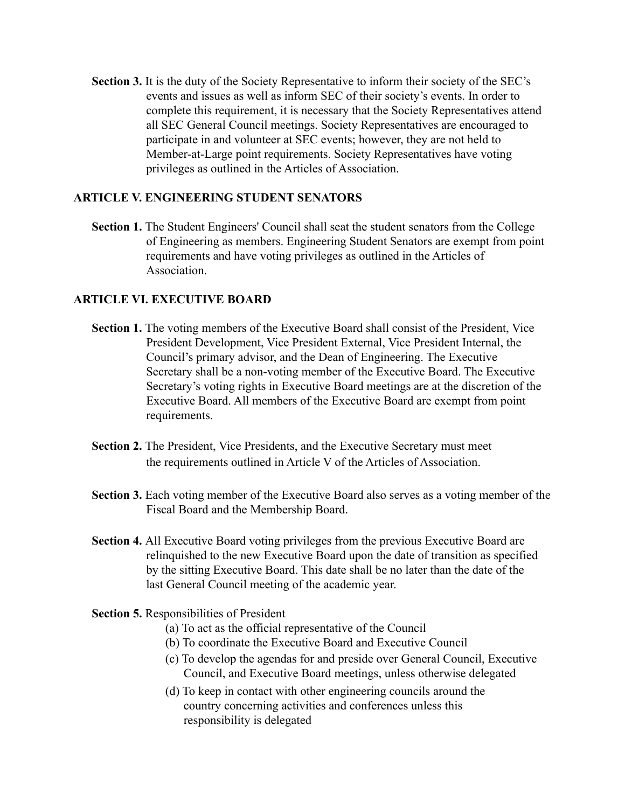**Section 3.** It is the duty of the Society Representative to inform their society of the SEC's events and issues as well as inform SEC of their society's events. In order to complete this requirement, it is necessary that the Society Representatives attend all SEC General Council meetings. Society Representatives are encouraged to participate in and volunteer at SEC events; however, they are not held to Member-at-Large point requirements. Society Representatives have voting privileges as outlined in the Articles of Association.

# **ARTICLE V. ENGINEERING STUDENT SENATORS**

**Section 1.** The Student Engineers' Council shall seat the student senators from the College of Engineering as members. Engineering Student Senators are exempt from point requirements and have voting privileges as outlined in the Articles of **Association** 

# **ARTICLE VI. EXECUTIVE BOARD**

- **Section 1.** The voting members of the Executive Board shall consist of the President, Vice President Development, Vice President External, Vice President Internal, the Council's primary advisor, and the Dean of Engineering. The Executive Secretary shall be a non-voting member of the Executive Board. The Executive Secretary's voting rights in Executive Board meetings are at the discretion of the Executive Board. All members of the Executive Board are exempt from point requirements.
- **Section 2.** The President, Vice Presidents, and the Executive Secretary must meet the requirements outlined in Article V of the Articles of Association.
- **Section 3.** Each voting member of the Executive Board also serves as a voting member of the Fiscal Board and the Membership Board.
- **Section 4.** All Executive Board voting privileges from the previous Executive Board are relinquished to the new Executive Board upon the date of transition as specified by the sitting Executive Board. This date shall be no later than the date of the last General Council meeting of the academic year.
- **Section 5.** Responsibilities of President
	- (a) To act as the official representative of the Council
	- (b) To coordinate the Executive Board and Executive Council
	- (c) To develop the agendas for and preside over General Council, Executive Council, and Executive Board meetings, unless otherwise delegated
	- (d) To keep in contact with other engineering councils around the country concerning activities and conferences unless this responsibility is delegated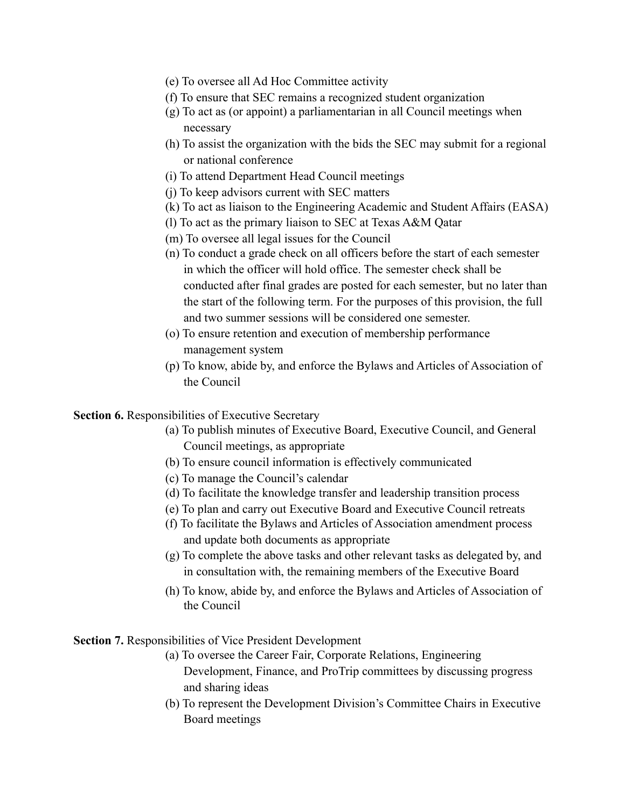- (e) To oversee all Ad Hoc Committee activity
- (f) To ensure that SEC remains a recognized student organization
- (g) To act as (or appoint) a parliamentarian in all Council meetings when necessary
- (h) To assist the organization with the bids the SEC may submit for a regional or national conference
- (i) To attend Department Head Council meetings
- (j) To keep advisors current with SEC matters
- (k) To act as liaison to the Engineering Academic and Student Affairs (EASA)
- (l) To act as the primary liaison to SEC at Texas A&M Qatar
- (m) To oversee all legal issues for the Council
- (n) To conduct a grade check on all officers before the start of each semester in which the officer will hold office. The semester check shall be conducted after final grades are posted for each semester, but no later than the start of the following term. For the purposes of this provision, the full and two summer sessions will be considered one semester.
- (o) To ensure retention and execution of membership performance management system
- (p) To know, abide by, and enforce the Bylaws and Articles of Association of the Council

**Section 6.** Responsibilities of Executive Secretary

- (a) To publish minutes of Executive Board, Executive Council, and General Council meetings, as appropriate
- (b) To ensure council information is effectively communicated
- (c) To manage the Council's calendar
- (d) To facilitate the knowledge transfer and leadership transition process
- (e) To plan and carry out Executive Board and Executive Council retreats
- (f) To facilitate the Bylaws and Articles of Association amendment process and update both documents as appropriate
- (g) To complete the above tasks and other relevant tasks as delegated by, and in consultation with, the remaining members of the Executive Board
- (h) To know, abide by, and enforce the Bylaws and Articles of Association of the Council

**Section 7.** Responsibilities of Vice President Development

- (a) To oversee the Career Fair, Corporate Relations, Engineering Development, Finance, and ProTrip committees by discussing progress and sharing ideas
- (b) To represent the Development Division's Committee Chairs in Executive Board meetings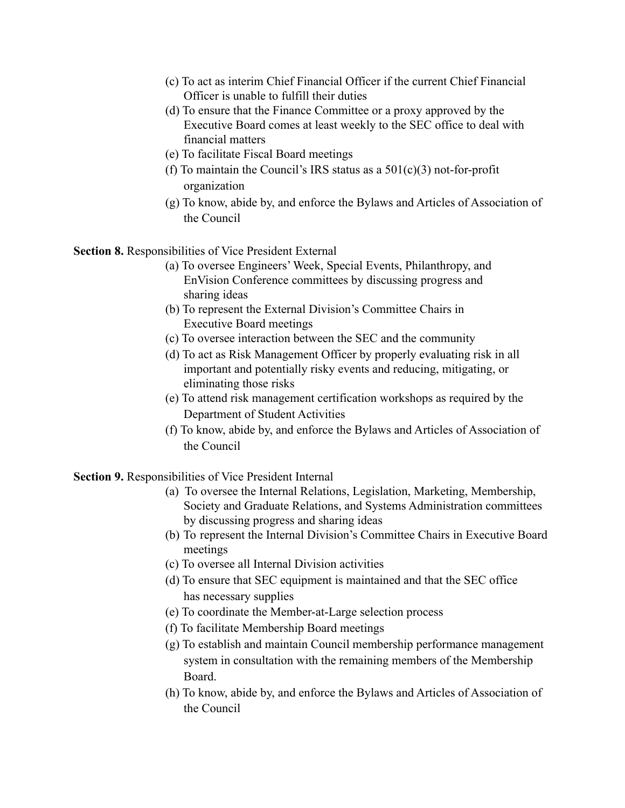- (c) To act as interim Chief Financial Officer if the current Chief Financial Officer is unable to fulfill their duties
- (d) To ensure that the Finance Committee or a proxy approved by the Executive Board comes at least weekly to the SEC office to deal with financial matters
- (e) To facilitate Fiscal Board meetings
- (f) To maintain the Council's IRS status as a  $501(c)(3)$  not-for-profit organization
- (g) To know, abide by, and enforce the Bylaws and Articles of Association of the Council

**Section 8.** Responsibilities of Vice President External

- (a) To oversee Engineers' Week, Special Events, Philanthropy, and EnVision Conference committees by discussing progress and sharing ideas
- (b) To represent the External Division's Committee Chairs in Executive Board meetings
- (c) To oversee interaction between the SEC and the community
- (d) To act as Risk Management Officer by properly evaluating risk in all important and potentially risky events and reducing, mitigating, or eliminating those risks
- (e) To attend risk management certification workshops as required by the Department of Student Activities
- (f) To know, abide by, and enforce the Bylaws and Articles of Association of the Council

**Section 9.** Responsibilities of Vice President Internal

- (a) To oversee the Internal Relations, Legislation, Marketing, Membership, Society and Graduate Relations, and Systems Administration committees by discussing progress and sharing ideas
- (b) To represent the Internal Division's Committee Chairs in Executive Board meetings
- (c) To oversee all Internal Division activities
- (d) To ensure that SEC equipment is maintained and that the SEC office has necessary supplies
- (e) To coordinate the Member-at-Large selection process
- (f) To facilitate Membership Board meetings
- (g) To establish and maintain Council membership performance management system in consultation with the remaining members of the Membership Board.
- (h) To know, abide by, and enforce the Bylaws and Articles of Association of the Council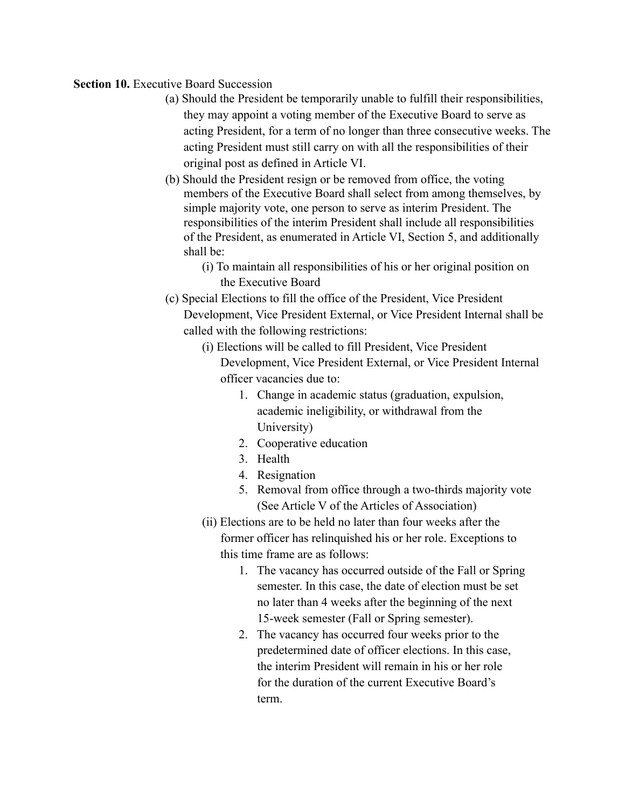### **Section 10.** Executive Board Succession

- (a) Should the President be temporarily unable to fulfill their responsibilities, they may appoint a voting member of the Executive Board to serve as acting President, for a term of no longer than three consecutive weeks. The acting President must still carry on with all the responsibilities of their original post as defined in Article VI.
- (b) Should the President resign or be removed from office, the voting members of the Executive Board shall select from among themselves, by simple majority vote, one person to serve as interim President. The responsibilities of the interim President shall include all responsibilities of the President, as enumerated in Article VI, Section 5, and additionally shall be:
	- (i) To maintain all responsibilities of his or her original position on the Executive Board
- (c) Special Elections to fill the office of the President, Vice President Development, Vice President External, or Vice President Internal shall be called with the following restrictions:
	- (i) Elections will be called to fill President, Vice President Development, Vice President External, or Vice President Internal officer vacancies due to:
		- 1. Change in academic status (graduation, expulsion, academic ineligibility, or withdrawal from the University)
		- 2. Cooperative education
		- 3. Health
		- 4. Resignation
		- 5. Removal from office through a two-thirds majority vote (See Article V of the Articles of Association)
	- (ii) Elections are to be held no later than four weeks after the former officer has relinquished his or her role. Exceptions to this time frame are as follows:
		- 1. The vacancy has occurred outside of the Fall or Spring semester. In this case, the date of election must be set no later than 4 weeks after the beginning of the next 15-week semester (Fall or Spring semester).
		- 2. The vacancy has occurred four weeks prior to the predetermined date of officer elections. In this case, the interim President will remain in his or her role for the duration of the current Executive Board's term.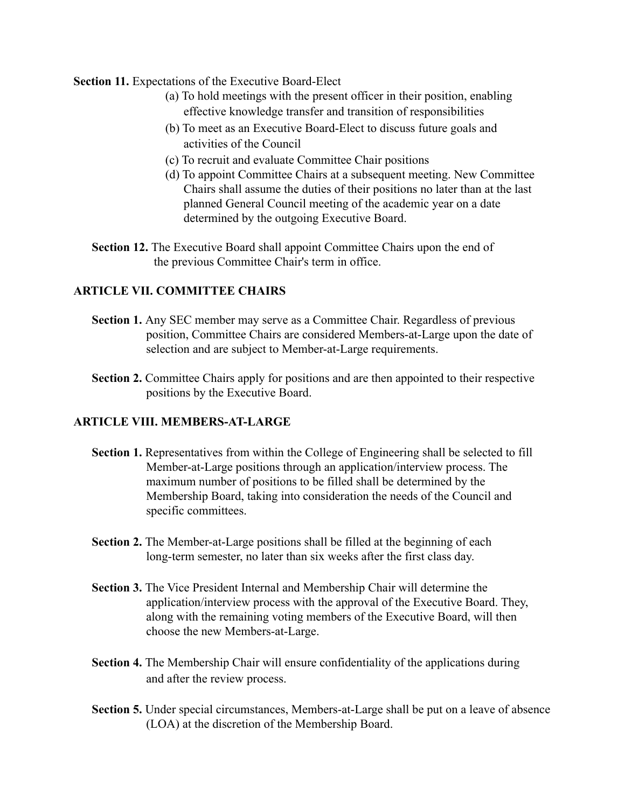**Section 11.** Expectations of the Executive Board-Elect

- (a) To hold meetings with the present officer in their position, enabling effective knowledge transfer and transition of responsibilities
- (b) To meet as an Executive Board-Elect to discuss future goals and activities of the Council
- (c) To recruit and evaluate Committee Chair positions
- (d) To appoint Committee Chairs at a subsequent meeting. New Committee Chairs shall assume the duties of their positions no later than at the last planned General Council meeting of the academic year on a date determined by the outgoing Executive Board.
- **Section 12.** The Executive Board shall appoint Committee Chairs upon the end of the previous Committee Chair's term in office.

# **ARTICLE VII. COMMITTEE CHAIRS**

- **Section 1.** Any SEC member may serve as a Committee Chair. Regardless of previous position, Committee Chairs are considered Members-at-Large upon the date of selection and are subject to Member-at-Large requirements.
- **Section 2.** Committee Chairs apply for positions and are then appointed to their respective positions by the Executive Board.

#### **ARTICLE VIII. MEMBERS-AT-LARGE**

- **Section 1.** Representatives from within the College of Engineering shall be selected to fill Member-at-Large positions through an application/interview process. The maximum number of positions to be filled shall be determined by the Membership Board, taking into consideration the needs of the Council and specific committees.
- **Section 2.** The Member-at-Large positions shall be filled at the beginning of each long-term semester, no later than six weeks after the first class day.
- **Section 3.** The Vice President Internal and Membership Chair will determine the application/interview process with the approval of the Executive Board. They, along with the remaining voting members of the Executive Board, will then choose the new Members-at-Large.
- **Section 4.** The Membership Chair will ensure confidentiality of the applications during and after the review process.
- **Section 5.** Under special circumstances, Members-at-Large shall be put on a leave of absence (LOA) at the discretion of the Membership Board.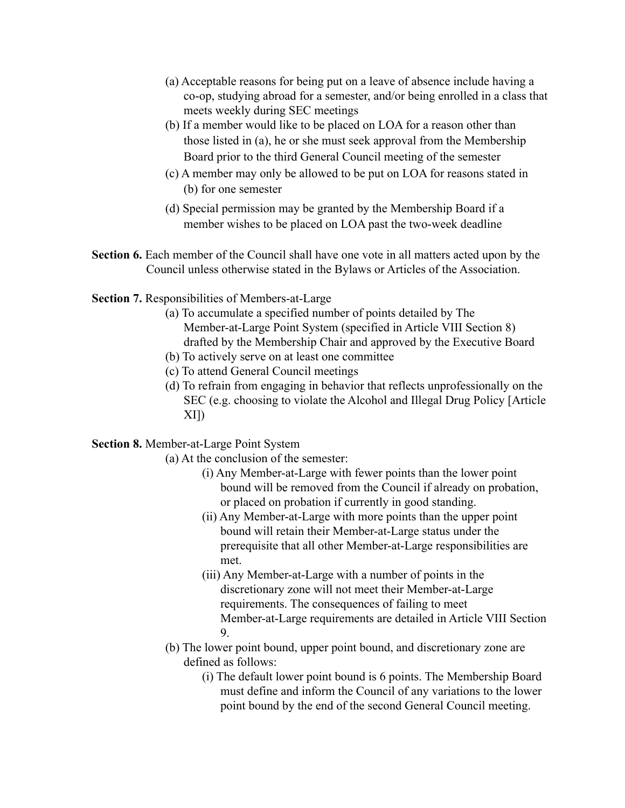- (a) Acceptable reasons for being put on a leave of absence include having a co-op, studying abroad for a semester, and/or being enrolled in a class that meets weekly during SEC meetings
- (b) If a member would like to be placed on LOA for a reason other than those listed in (a), he or she must seek approval from the Membership Board prior to the third General Council meeting of the semester
- (c) A member may only be allowed to be put on LOA for reasons stated in (b) for one semester
- (d) Special permission may be granted by the Membership Board if a member wishes to be placed on LOA past the two-week deadline
- **Section 6.** Each member of the Council shall have one vote in all matters acted upon by the Council unless otherwise stated in the Bylaws or Articles of the Association.
- **Section 7.** Responsibilities of Members-at-Large
	- (a) To accumulate a specified number of points detailed by The Member-at-Large Point System (specified in Article VIII Section 8) drafted by the Membership Chair and approved by the Executive Board
	- (b) To actively serve on at least one committee
	- (c) To attend General Council meetings
	- (d) To refrain from engaging in behavior that reflects unprofessionally on the SEC (e.g. choosing to violate the Alcohol and Illegal Drug Policy [Article XI])

# **Section 8.** Member-at-Large Point System

- (a) At the conclusion of the semester:
	- (i) Any Member-at-Large with fewer points than the lower point bound will be removed from the Council if already on probation, or placed on probation if currently in good standing.
	- (ii) Any Member-at-Large with more points than the upper point bound will retain their Member-at-Large status under the prerequisite that all other Member-at-Large responsibilities are met.
	- (iii) Any Member-at-Large with a number of points in the discretionary zone will not meet their Member-at-Large requirements. The consequences of failing to meet Member-at-Large requirements are detailed in Article VIII Section 9.
- (b) The lower point bound, upper point bound, and discretionary zone are defined as follows:
	- (i) The default lower point bound is 6 points. The Membership Board must define and inform the Council of any variations to the lower point bound by the end of the second General Council meeting.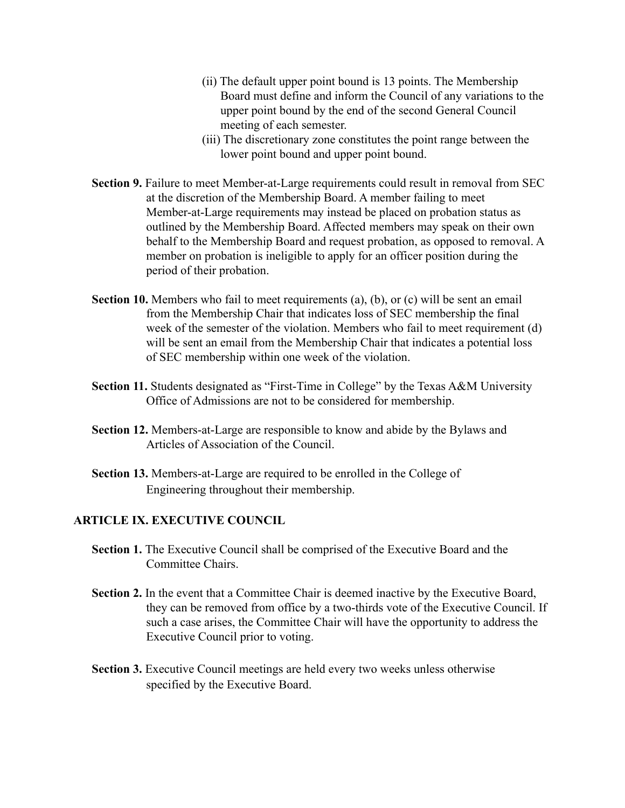- (ii) The default upper point bound is 13 points. The Membership Board must define and inform the Council of any variations to the upper point bound by the end of the second General Council meeting of each semester.
- (iii) The discretionary zone constitutes the point range between the lower point bound and upper point bound.
- **Section 9.** Failure to meet Member-at-Large requirements could result in removal from SEC at the discretion of the Membership Board. A member failing to meet Member-at-Large requirements may instead be placed on probation status as outlined by the Membership Board. Affected members may speak on their own behalf to the Membership Board and request probation, as opposed to removal. A member on probation is ineligible to apply for an officer position during the period of their probation.
- **Section 10.** Members who fail to meet requirements (a), (b), or (c) will be sent an email from the Membership Chair that indicates loss of SEC membership the final week of the semester of the violation. Members who fail to meet requirement (d) will be sent an email from the Membership Chair that indicates a potential loss of SEC membership within one week of the violation.
- **Section 11.** Students designated as "First-Time in College" by the Texas A&M University Office of Admissions are not to be considered for membership.
- **Section 12.** Members-at-Large are responsible to know and abide by the Bylaws and Articles of Association of the Council.
- **Section 13.** Members-at-Large are required to be enrolled in the College of Engineering throughout their membership.

# **ARTICLE IX. EXECUTIVE COUNCIL**

- **Section 1.** The Executive Council shall be comprised of the Executive Board and the Committee Chairs.
- **Section 2.** In the event that a Committee Chair is deemed inactive by the Executive Board, they can be removed from office by a two-thirds vote of the Executive Council. If such a case arises, the Committee Chair will have the opportunity to address the Executive Council prior to voting.
- **Section 3.** Executive Council meetings are held every two weeks unless otherwise specified by the Executive Board.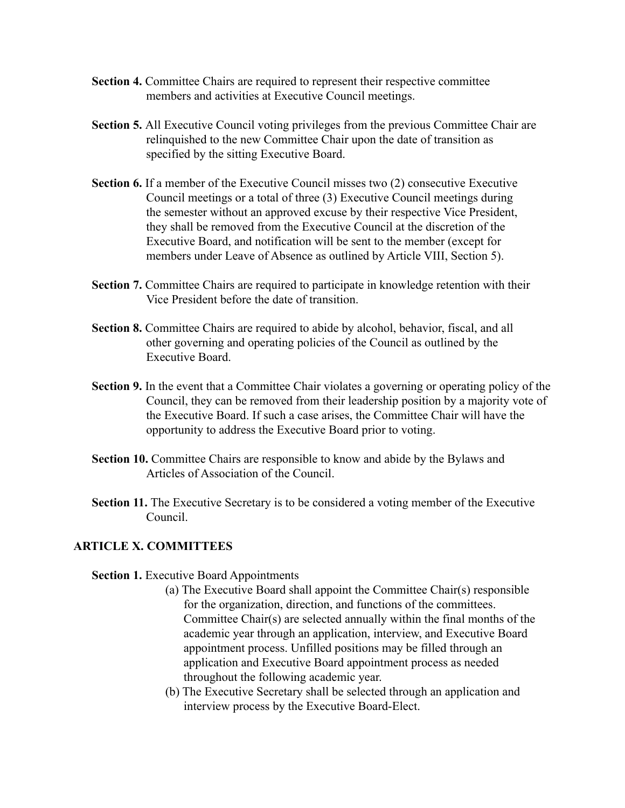- **Section 4.** Committee Chairs are required to represent their respective committee members and activities at Executive Council meetings.
- **Section 5.** All Executive Council voting privileges from the previous Committee Chair are relinquished to the new Committee Chair upon the date of transition as specified by the sitting Executive Board.
- **Section 6.** If a member of the Executive Council misses two (2) consecutive Executive Council meetings or a total of three (3) Executive Council meetings during the semester without an approved excuse by their respective Vice President, they shall be removed from the Executive Council at the discretion of the Executive Board, and notification will be sent to the member (except for members under Leave of Absence as outlined by Article VIII, Section 5).
- **Section 7.** Committee Chairs are required to participate in knowledge retention with their Vice President before the date of transition.
- **Section 8.** Committee Chairs are required to abide by alcohol, behavior, fiscal, and all other governing and operating policies of the Council as outlined by the Executive Board.
- **Section 9.** In the event that a Committee Chair violates a governing or operating policy of the Council, they can be removed from their leadership position by a majority vote of the Executive Board. If such a case arises, the Committee Chair will have the opportunity to address the Executive Board prior to voting.
- **Section 10.** Committee Chairs are responsible to know and abide by the Bylaws and Articles of Association of the Council.
- **Section 11.** The Executive Secretary is to be considered a voting member of the Executive Council.

# **ARTICLE X. COMMITTEES**

#### **Section 1.** Executive Board Appointments

- (a) The Executive Board shall appoint the Committee Chair(s) responsible for the organization, direction, and functions of the committees. Committee Chair(s) are selected annually within the final months of the academic year through an application, interview, and Executive Board appointment process. Unfilled positions may be filled through an application and Executive Board appointment process as needed throughout the following academic year.
- (b) The Executive Secretary shall be selected through an application and interview process by the Executive Board-Elect.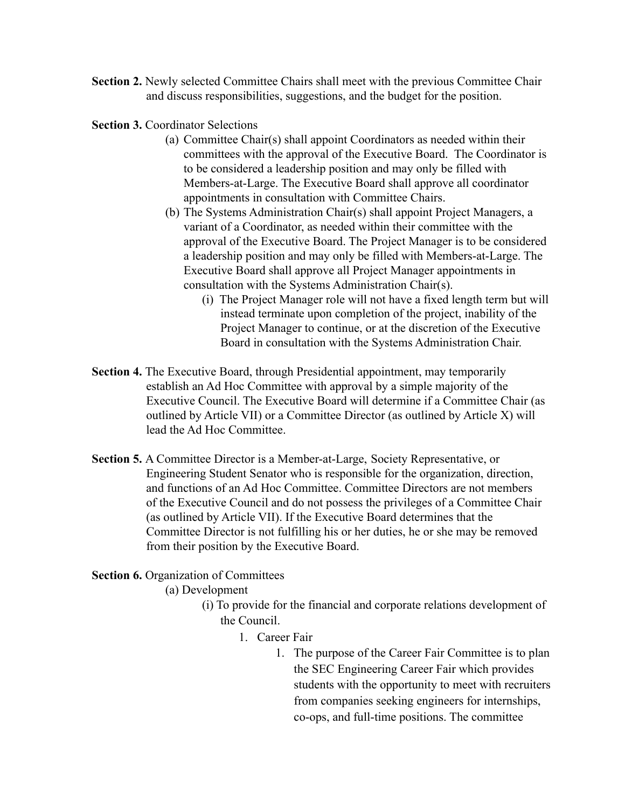- **Section 2.** Newly selected Committee Chairs shall meet with the previous Committee Chair and discuss responsibilities, suggestions, and the budget for the position.
- **Section 3.** Coordinator Selections
	- (a) Committee Chair(s) shall appoint Coordinators as needed within their committees with the approval of the Executive Board. The Coordinator is to be considered a leadership position and may only be filled with Members-at-Large. The Executive Board shall approve all coordinator appointments in consultation with Committee Chairs.
	- (b) The Systems Administration Chair(s) shall appoint Project Managers, a variant of a Coordinator, as needed within their committee with the approval of the Executive Board. The Project Manager is to be considered a leadership position and may only be filled with Members-at-Large. The Executive Board shall approve all Project Manager appointments in consultation with the Systems Administration Chair(s).
		- (i) The Project Manager role will not have a fixed length term but will instead terminate upon completion of the project, inability of the Project Manager to continue, or at the discretion of the Executive Board in consultation with the Systems Administration Chair.
- **Section 4.** The Executive Board, through Presidential appointment, may temporarily establish an Ad Hoc Committee with approval by a simple majority of the Executive Council. The Executive Board will determine if a Committee Chair (as outlined by Article VII) or a Committee Director (as outlined by Article X) will lead the Ad Hoc Committee.
- **Section 5.** A Committee Director is a Member-at-Large, Society Representative, or Engineering Student Senator who is responsible for the organization, direction, and functions of an Ad Hoc Committee. Committee Directors are not members of the Executive Council and do not possess the privileges of a Committee Chair (as outlined by Article VII). If the Executive Board determines that the Committee Director is not fulfilling his or her duties, he or she may be removed from their position by the Executive Board.

**Section 6.** Organization of Committees

(a) Development

- (i) To provide for the financial and corporate relations development of the Council.
	- 1. Career Fair
		- 1. The purpose of the Career Fair Committee is to plan the SEC Engineering Career Fair which provides students with the opportunity to meet with recruiters from companies seeking engineers for internships, co-ops, and full-time positions. The committee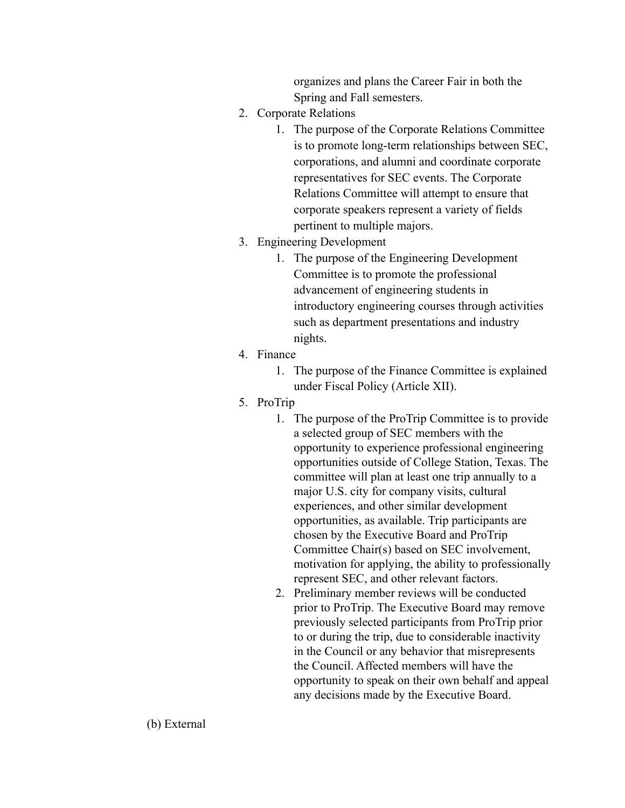organizes and plans the Career Fair in both the Spring and Fall semesters.

- 2. Corporate Relations
	- 1. The purpose of the Corporate Relations Committee is to promote long-term relationships between SEC, corporations, and alumni and coordinate corporate representatives for SEC events. The Corporate Relations Committee will attempt to ensure that corporate speakers represent a variety of fields pertinent to multiple majors.
- 3. Engineering Development
	- 1. The purpose of the Engineering Development Committee is to promote the professional advancement of engineering students in introductory engineering courses through activities such as department presentations and industry nights.
- 4. Finance
	- 1. The purpose of the Finance Committee is explained under Fiscal Policy (Article XII).
- 5. ProTrip
	- 1. The purpose of the ProTrip Committee is to provide a selected group of SEC members with the opportunity to experience professional engineering opportunities outside of College Station, Texas. The committee will plan at least one trip annually to a major U.S. city for company visits, cultural experiences, and other similar development opportunities, as available. Trip participants are chosen by the Executive Board and ProTrip Committee Chair(s) based on SEC involvement, motivation for applying, the ability to professionally represent SEC, and other relevant factors.
	- 2. Preliminary member reviews will be conducted prior to ProTrip. The Executive Board may remove previously selected participants from ProTrip prior to or during the trip, due to considerable inactivity in the Council or any behavior that misrepresents the Council. Affected members will have the opportunity to speak on their own behalf and appeal any decisions made by the Executive Board.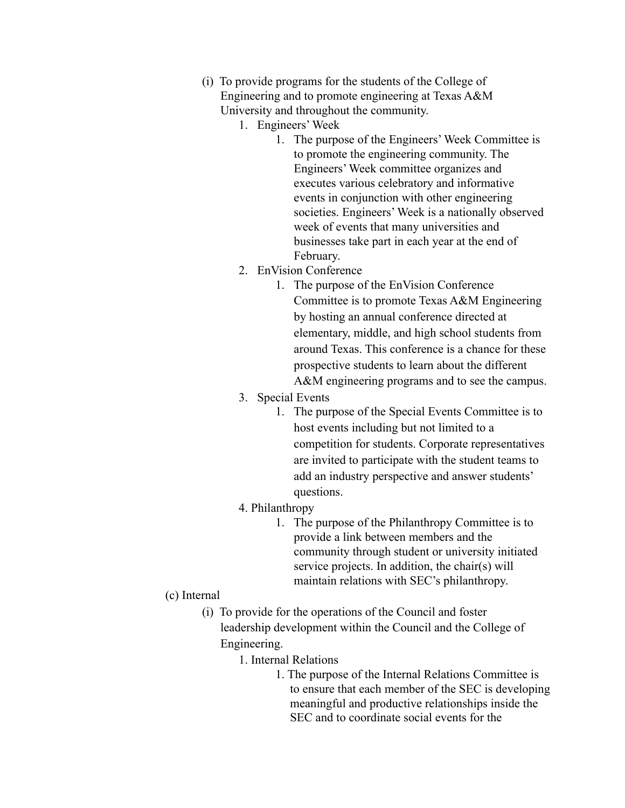- (i) To provide programs for the students of the College of Engineering and to promote engineering at Texas A&M University and throughout the community.
	- 1. Engineers' Week
		- 1. The purpose of the Engineers' Week Committee is to promote the engineering community. The Engineers' Week committee organizes and executes various celebratory and informative events in conjunction with other engineering societies. Engineers' Week is a nationally observed week of events that many universities and businesses take part in each year at the end of February.
	- 2. EnVision Conference
		- 1. The purpose of the EnVision Conference Committee is to promote Texas A&M Engineering by hosting an annual conference directed at elementary, middle, and high school students from around Texas. This conference is a chance for these prospective students to learn about the different A&M engineering programs and to see the campus.
	- 3. Special Events
		- 1. The purpose of the Special Events Committee is to host events including but not limited to a competition for students. Corporate representatives are invited to participate with the student teams to add an industry perspective and answer students' questions.
	- 4. Philanthropy
		- 1. The purpose of the Philanthropy Committee is to provide a link between members and the community through student or university initiated service projects. In addition, the chair(s) will maintain relations with SEC's philanthropy.
- (c) Internal
	- (i) To provide for the operations of the Council and foster leadership development within the Council and the College of Engineering.
		- 1. Internal Relations
			- 1. The purpose of the Internal Relations Committee is to ensure that each member of the SEC is developing meaningful and productive relationships inside the SEC and to coordinate social events for the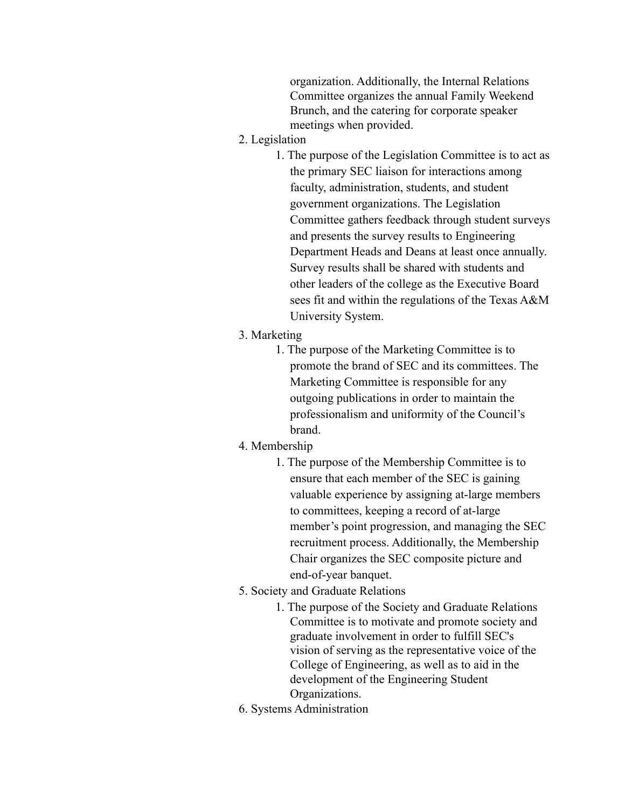organization. Additionally, the Internal Relations Committee organizes the annual Family Weekend Brunch, and the catering for corporate speaker meetings when provided.

- 2. Legislation
	- 1. The purpose of the Legislation Committee is to act as the primary SEC liaison for interactions among faculty, administration, students, and student government organizations. The Legislation Committee gathers feedback through student surveys and presents the survey results to Engineering Department Heads and Deans at least once annually. Survey results shall be shared with students and other leaders of the college as the Executive Board sees fit and within the regulations of the Texas A&M University System.
- 3. Marketing
	- 1. The purpose of the Marketing Committee is to promote the brand of SEC and its committees. The Marketing Committee is responsible for any outgoing publications in order to maintain the professionalism and uniformity of the Council's brand.
- 4. Membership
	- 1. The purpose of the Membership Committee is to ensure that each member of the SEC is gaining valuable experience by assigning at-large members to committees, keeping a record of at-large member's point progression, and managing the SEC recruitment process. Additionally, the Membership Chair organizes the SEC composite picture and end-of-year banquet.
- 5. Society and Graduate Relations
	- 1. The purpose of the Society and Graduate Relations Committee is to motivate and promote society and graduate involvement in order to fulfill SEC's vision of serving as the representative voice of the College of Engineering, as well as to aid in the development of the Engineering Student Organizations.
- 6. Systems Administration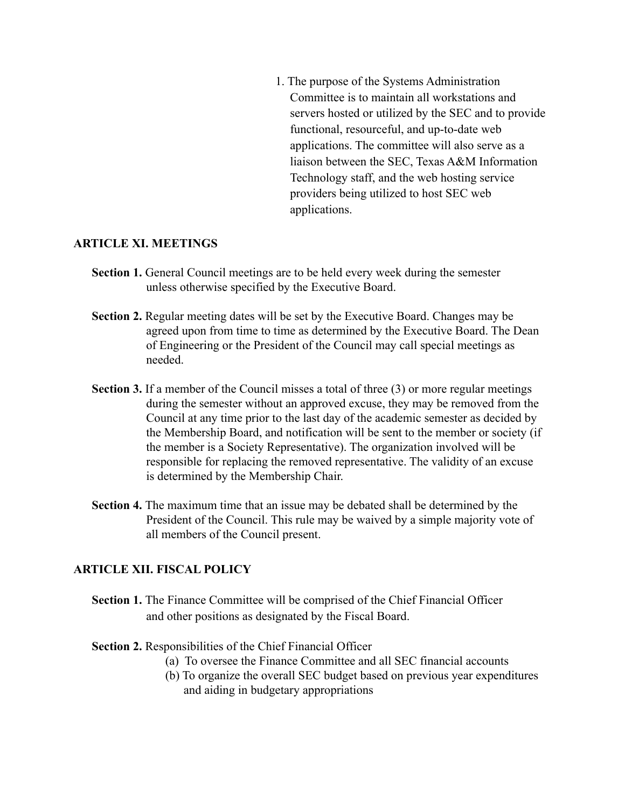1. The purpose of the Systems Administration Committee is to maintain all workstations and servers hosted or utilized by the SEC and to provide functional, resourceful, and up-to-date web applications. The committee will also serve as a liaison between the SEC, Texas A&M Information Technology staff, and the web hosting service providers being utilized to host SEC web applications.

#### **ARTICLE XI. MEETINGS**

- **Section 1.** General Council meetings are to be held every week during the semester unless otherwise specified by the Executive Board.
- **Section 2.** Regular meeting dates will be set by the Executive Board. Changes may be agreed upon from time to time as determined by the Executive Board. The Dean of Engineering or the President of the Council may call special meetings as needed.
- **Section 3.** If a member of the Council misses a total of three (3) or more regular meetings during the semester without an approved excuse, they may be removed from the Council at any time prior to the last day of the academic semester as decided by the Membership Board, and notification will be sent to the member or society (if the member is a Society Representative). The organization involved will be responsible for replacing the removed representative. The validity of an excuse is determined by the Membership Chair.
- **Section 4.** The maximum time that an issue may be debated shall be determined by the President of the Council. This rule may be waived by a simple majority vote of all members of the Council present.

#### **ARTICLE XII. FISCAL POLICY**

- **Section 1.** The Finance Committee will be comprised of the Chief Financial Officer and other positions as designated by the Fiscal Board.
- **Section 2.** Responsibilities of the Chief Financial Officer
	- (a) To oversee the Finance Committee and all SEC financial accounts
	- (b) To organize the overall SEC budget based on previous year expenditures and aiding in budgetary appropriations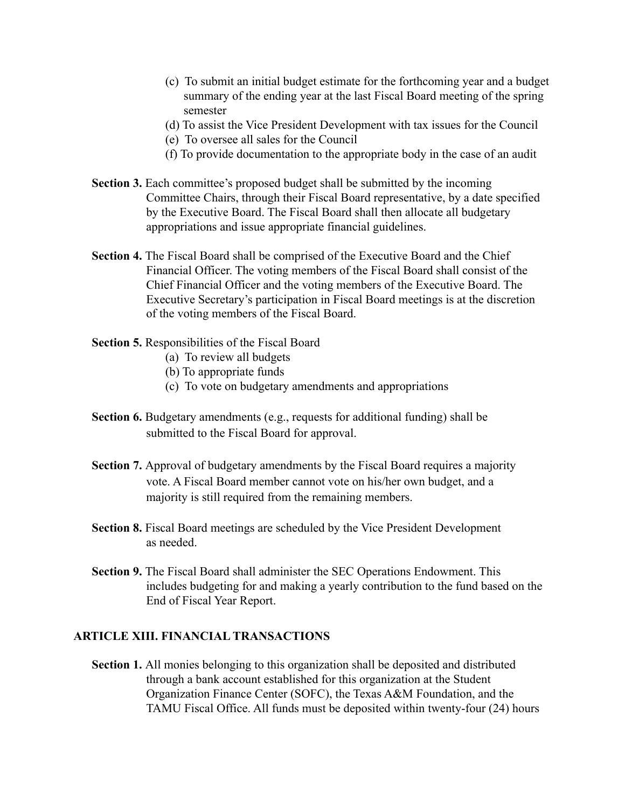- (c) To submit an initial budget estimate for the forthcoming year and a budget summary of the ending year at the last Fiscal Board meeting of the spring semester
- (d) To assist the Vice President Development with tax issues for the Council
- (e) To oversee all sales for the Council
- (f) To provide documentation to the appropriate body in the case of an audit
- **Section 3.** Each committee's proposed budget shall be submitted by the incoming Committee Chairs, through their Fiscal Board representative, by a date specified by the Executive Board. The Fiscal Board shall then allocate all budgetary appropriations and issue appropriate financial guidelines.
- **Section 4.** The Fiscal Board shall be comprised of the Executive Board and the Chief Financial Officer. The voting members of the Fiscal Board shall consist of the Chief Financial Officer and the voting members of the Executive Board. The Executive Secretary's participation in Fiscal Board meetings is at the discretion of the voting members of the Fiscal Board.
- **Section 5.** Responsibilities of the Fiscal Board
	- (a) To review all budgets
	- (b) To appropriate funds
	- (c) To vote on budgetary amendments and appropriations
- **Section 6.** Budgetary amendments (e.g., requests for additional funding) shall be submitted to the Fiscal Board for approval.
- **Section 7.** Approval of budgetary amendments by the Fiscal Board requires a majority vote. A Fiscal Board member cannot vote on his/her own budget, and a majority is still required from the remaining members.
- **Section 8.** Fiscal Board meetings are scheduled by the Vice President Development as needed.
- **Section 9.** The Fiscal Board shall administer the SEC Operations Endowment. This includes budgeting for and making a yearly contribution to the fund based on the End of Fiscal Year Report.

# **ARTICLE XIII. FINANCIAL TRANSACTIONS**

**Section 1.** All monies belonging to this organization shall be deposited and distributed through a bank account established for this organization at the Student Organization Finance Center (SOFC), the Texas A&M Foundation, and the TAMU Fiscal Office. All funds must be deposited within twenty-four (24) hours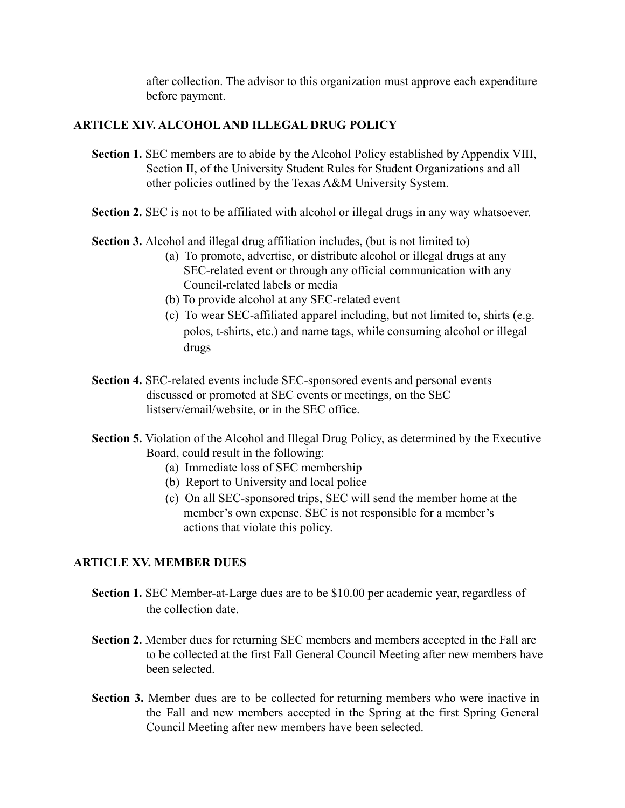after collection. The advisor to this organization must approve each expenditure before payment.

# **ARTICLE XIV. ALCOHOL AND ILLEGAL DRUG POLICY**

- **Section 1.** SEC members are to abide by the Alcohol Policy established by Appendix VIII, Section II, of the University Student Rules for Student Organizations and all other policies outlined by the Texas A&M University System.
- **Section 2.** SEC is not to be affiliated with alcohol or illegal drugs in any way whatsoever.
- **Section 3.** Alcohol and illegal drug affiliation includes, (but is not limited to)
	- (a) To promote, advertise, or distribute alcohol or illegal drugs at any SEC-related event or through any official communication with any Council-related labels or media
	- (b) To provide alcohol at any SEC-related event
	- (c) To wear SEC-affiliated apparel including, but not limited to, shirts (e.g. polos, t-shirts, etc.) and name tags, while consuming alcohol or illegal drugs
- **Section 4.** SEC-related events include SEC-sponsored events and personal events discussed or promoted at SEC events or meetings, on the SEC listserv/email/website, or in the SEC office.
- **Section 5.** Violation of the Alcohol and Illegal Drug Policy, as determined by the Executive Board, could result in the following:
	- (a) Immediate loss of SEC membership
	- (b) Report to University and local police
	- (c) On all SEC-sponsored trips, SEC will send the member home at the member's own expense. SEC is not responsible for a member's actions that violate this policy.

# **ARTICLE XV. MEMBER DUES**

- **Section 1.** SEC Member-at-Large dues are to be \$10.00 per academic year, regardless of the collection date.
- **Section 2.** Member dues for returning SEC members and members accepted in the Fall are to be collected at the first Fall General Council Meeting after new members have been selected.
- **Section 3.** Member dues are to be collected for returning members who were inactive in the Fall and new members accepted in the Spring at the first Spring General Council Meeting after new members have been selected.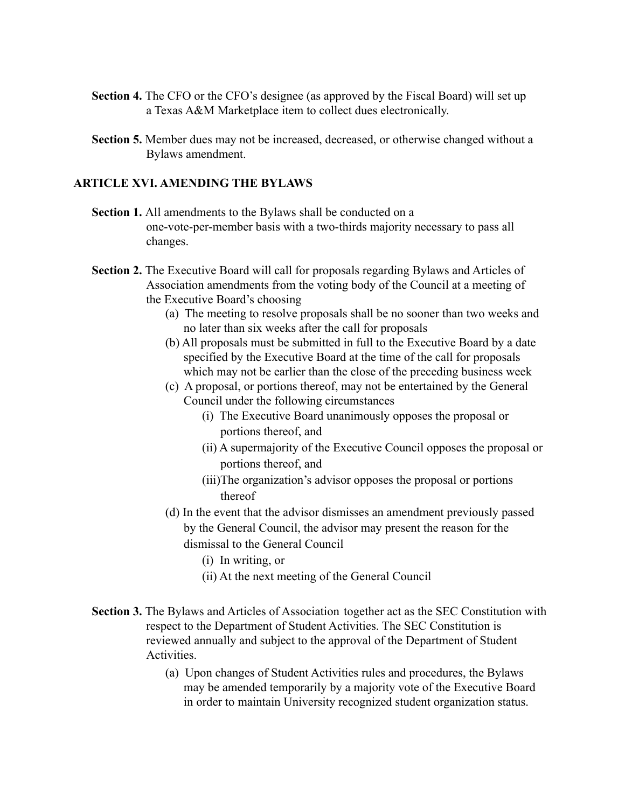- **Section 4.** The CFO or the CFO's designee (as approved by the Fiscal Board) will set up a Texas A&M Marketplace item to collect dues electronically.
- **Section 5.** Member dues may not be increased, decreased, or otherwise changed without a Bylaws amendment.

### **ARTICLE XVI. AMENDING THE BYLAWS**

- **Section 1.** All amendments to the Bylaws shall be conducted on a one-vote-per-member basis with a two-thirds majority necessary to pass all changes.
- **Section 2.** The Executive Board will call for proposals regarding Bylaws and Articles of Association amendments from the voting body of the Council at a meeting of the Executive Board's choosing
	- (a) The meeting to resolve proposals shall be no sooner than two weeks and no later than six weeks after the call for proposals
	- (b) All proposals must be submitted in full to the Executive Board by a date specified by the Executive Board at the time of the call for proposals which may not be earlier than the close of the preceding business week
	- (c) A proposal, or portions thereof, may not be entertained by the General Council under the following circumstances
		- (i) The Executive Board unanimously opposes the proposal or portions thereof, and
		- (ii) A supermajority of the Executive Council opposes the proposal or portions thereof, and
		- (iii)The organization's advisor opposes the proposal or portions thereof
	- (d) In the event that the advisor dismisses an amendment previously passed by the General Council, the advisor may present the reason for the dismissal to the General Council
		- (i) In writing, or
		- (ii) At the next meeting of the General Council
- **Section 3.** The Bylaws and Articles of Association together act as the SEC Constitution with respect to the Department of Student Activities. The SEC Constitution is reviewed annually and subject to the approval of the Department of Student **Activities** 
	- (a) Upon changes of Student Activities rules and procedures, the Bylaws may be amended temporarily by a majority vote of the Executive Board in order to maintain University recognized student organization status.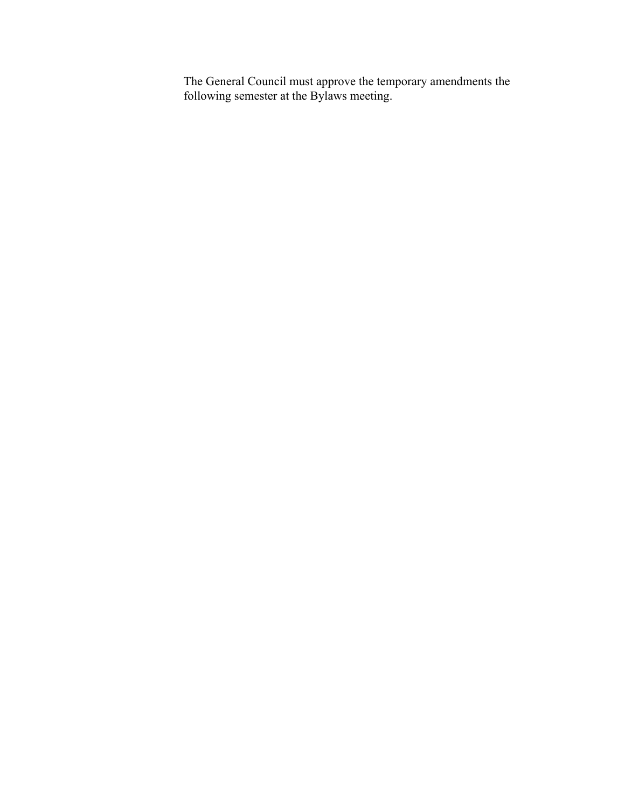The General Council must approve the temporary amendments the following semester at the Bylaws meeting.